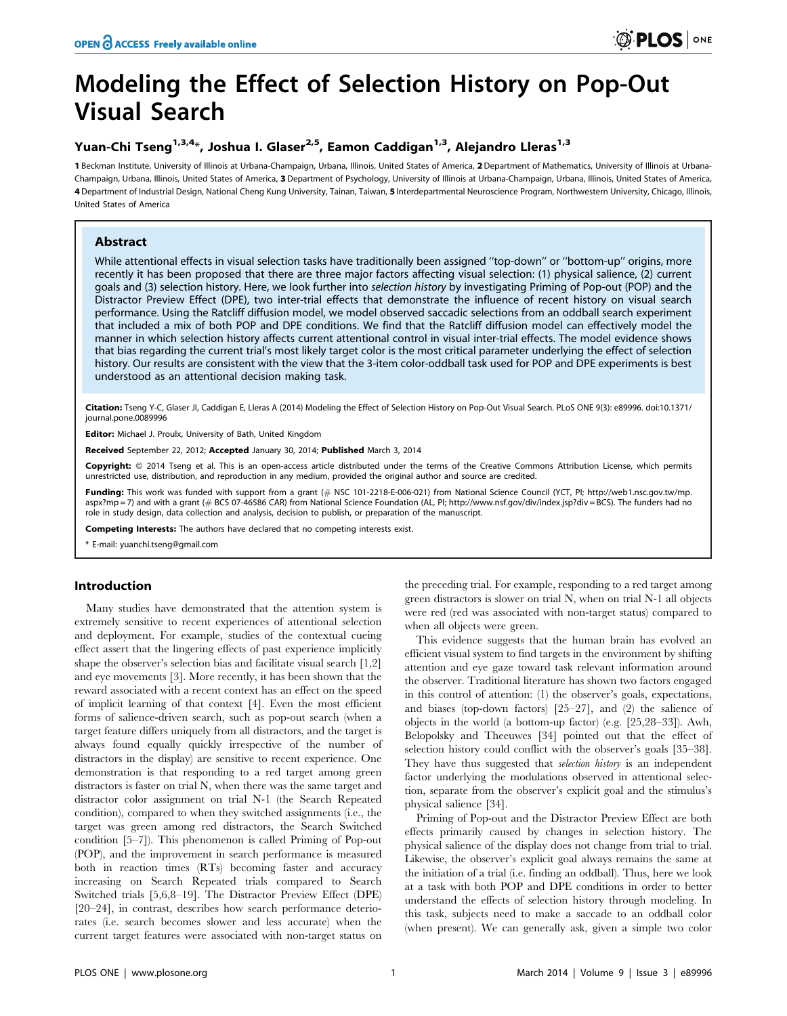# Modeling the Effect of Selection History on Pop-Out Visual Search

## Yuan-Chi Tseng<sup>1,3,4\*</sup>, Joshua I. Glaser<sup>2,5</sup>, Eamon Caddigan<sup>1,3</sup>, Alejandro Lleras<sup>1,3</sup>

1 Beckman Institute, University of Illinois at Urbana-Champaign, Urbana, Illinois, United States of America, 2Department of Mathematics, University of Illinois at Urbana-Champaign, Urbana, Illinois, United States of America, 3 Department of Psychology, University of Illinois at Urbana-Champaign, Urbana, Illinois, United States of America, 4 Department of Industrial Design, National Cheng Kung University, Tainan, Taiwan, 5 Interdepartmental Neuroscience Program, Northwestern University, Chicago, Illinois, United States of America

## Abstract

While attentional effects in visual selection tasks have traditionally been assigned ''top-down'' or ''bottom-up'' origins, more recently it has been proposed that there are three major factors affecting visual selection: (1) physical salience, (2) current goals and (3) selection history. Here, we look further into selection history by investigating Priming of Pop-out (POP) and the Distractor Preview Effect (DPE), two inter-trial effects that demonstrate the influence of recent history on visual search performance. Using the Ratcliff diffusion model, we model observed saccadic selections from an oddball search experiment that included a mix of both POP and DPE conditions. We find that the Ratcliff diffusion model can effectively model the manner in which selection history affects current attentional control in visual inter-trial effects. The model evidence shows that bias regarding the current trial's most likely target color is the most critical parameter underlying the effect of selection history. Our results are consistent with the view that the 3-item color-oddball task used for POP and DPE experiments is best understood as an attentional decision making task.

Citation: Tseng Y-C, Glaser JI, Caddigan E, Lleras A (2014) Modeling the Effect of Selection History on Pop-Out Visual Search. PLoS ONE 9(3): e89996. doi:10.1371/ journal.pone.0089996

Editor: Michael J. Proulx, University of Bath, United Kingdom

Received September 22, 2012; Accepted January 30, 2014; Published March 3, 2014

Copyright: © 2014 Tseng et al. This is an open-access article distributed under the terms of the [Creative Commons Attribution License](http://creativecommons.org/licenses/by/4.0/), which permits unrestricted use, distribution, and reproduction in any medium, provided the original author and source are credited.

Funding: This work was funded with support from a grant (# NSC 101-2218-E-006-021) from National Science Council (YCT, PI; http://web1.nsc.gov.tw/mp. aspx?mp = 7) and with a grant (# BCS 07-46586 CAR) from National Science Foundation (AL, PI; http://www.nsf.gov/div/index.jsp?div = BCS). The funders had no role in study design, data collection and analysis, decision to publish, or preparation of the manuscript.

Competing Interests: The authors have declared that no competing interests exist.

\* E-mail: yuanchi.tseng@gmail.com

## Introduction

Many studies have demonstrated that the attention system is extremely sensitive to recent experiences of attentional selection and deployment. For example, studies of the contextual cueing effect assert that the lingering effects of past experience implicitly shape the observer's selection bias and facilitate visual search [1,2] and eye movements [3]. More recently, it has been shown that the reward associated with a recent context has an effect on the speed of implicit learning of that context [4]. Even the most efficient forms of salience-driven search, such as pop-out search (when a target feature differs uniquely from all distractors, and the target is always found equally quickly irrespective of the number of distractors in the display) are sensitive to recent experience. One demonstration is that responding to a red target among green distractors is faster on trial N, when there was the same target and distractor color assignment on trial N-1 (the Search Repeated condition), compared to when they switched assignments (i.e., the target was green among red distractors, the Search Switched condition [5–7]). This phenomenon is called Priming of Pop-out (POP), and the improvement in search performance is measured both in reaction times (RTs) becoming faster and accuracy increasing on Search Repeated trials compared to Search Switched trials [5,6,8–19]. The Distractor Preview Effect (DPE) [20–24], in contrast, describes how search performance deteriorates (i.e. search becomes slower and less accurate) when the current target features were associated with non-target status on

the preceding trial. For example, responding to a red target among green distractors is slower on trial N, when on trial N-1 all objects were red (red was associated with non-target status) compared to when all objects were green.

This evidence suggests that the human brain has evolved an efficient visual system to find targets in the environment by shifting attention and eye gaze toward task relevant information around the observer. Traditional literature has shown two factors engaged in this control of attention: (1) the observer's goals, expectations, and biases (top-down factors) [25–27], and (2) the salience of objects in the world (a bottom-up factor) (e.g. [25,28–33]). Awh, Belopolsky and Theeuwes [34] pointed out that the effect of selection history could conflict with the observer's goals [35–38]. They have thus suggested that *selection history* is an independent factor underlying the modulations observed in attentional selection, separate from the observer's explicit goal and the stimulus's physical salience [34].

Priming of Pop-out and the Distractor Preview Effect are both effects primarily caused by changes in selection history. The physical salience of the display does not change from trial to trial. Likewise, the observer's explicit goal always remains the same at the initiation of a trial (i.e. finding an oddball). Thus, here we look at a task with both POP and DPE conditions in order to better understand the effects of selection history through modeling. In this task, subjects need to make a saccade to an oddball color (when present). We can generally ask, given a simple two color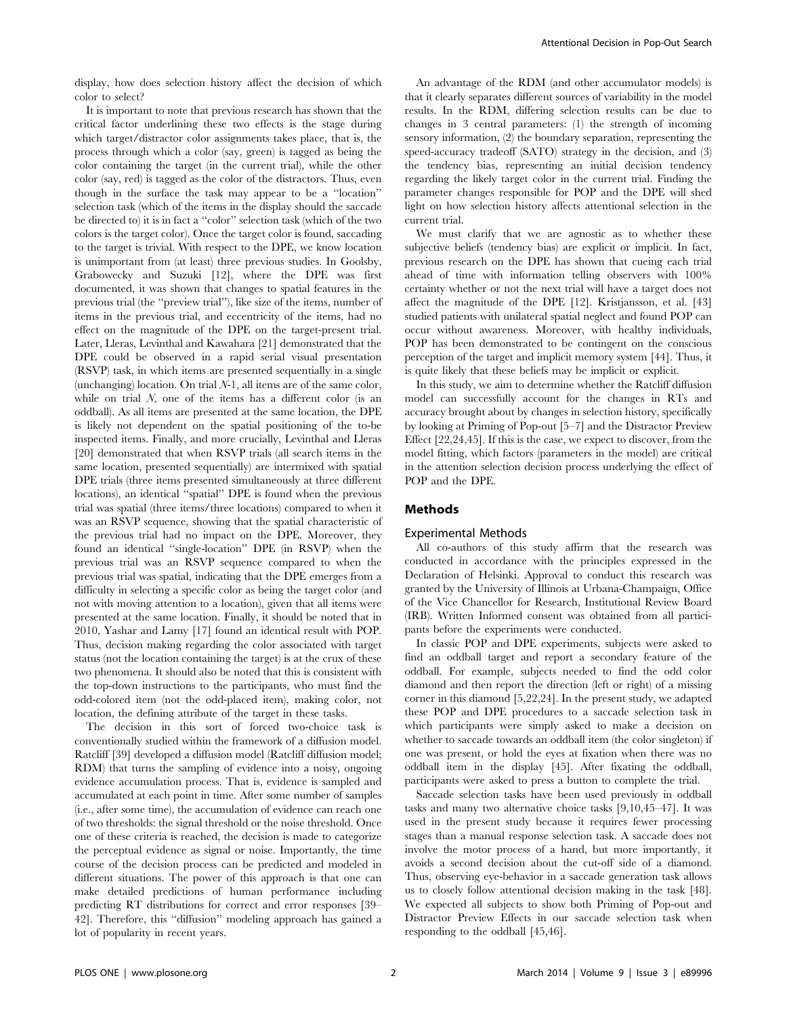display, how does selection history affect the decision of which color to select?

It is important to note that previous research has shown that the critical factor underlining these two effects is the stage during which target/distractor color assignments takes place, that is, the process through which a color (say, green) is tagged as being the color containing the target (in the current trial), while the other color (say, red) is tagged as the color of the distractors. Thus, even though in the surface the task may appear to be a ''location'' selection task (which of the items in the display should the saccade be directed to) it is in fact a ''color'' selection task (which of the two colors is the target color). Once the target color is found, saccading to the target is trivial. With respect to the DPE, we know location is unimportant from (at least) three previous studies. In Goolsby, Grabowecky and Suzuki [12], where the DPE was first documented, it was shown that changes to spatial features in the previous trial (the ''preview trial''), like size of the items, number of items in the previous trial, and eccentricity of the items, had no effect on the magnitude of the DPE on the target-present trial. Later, Lleras, Levinthal and Kawahara [21] demonstrated that the DPE could be observed in a rapid serial visual presentation (RSVP) task, in which items are presented sequentially in a single (unchanging) location. On trial N-1, all items are of the same color, while on trial  $N$ , one of the items has a different color (is an oddball). As all items are presented at the same location, the DPE is likely not dependent on the spatial positioning of the to-be inspected items. Finally, and more crucially, Levinthal and Lleras [20] demonstrated that when RSVP trials (all search items in the same location, presented sequentially) are intermixed with spatial DPE trials (three items presented simultaneously at three different locations), an identical ''spatial'' DPE is found when the previous trial was spatial (three items/three locations) compared to when it was an RSVP sequence, showing that the spatial characteristic of the previous trial had no impact on the DPE. Moreover, they found an identical ''single-location'' DPE (in RSVP) when the previous trial was an RSVP sequence compared to when the previous trial was spatial, indicating that the DPE emerges from a difficulty in selecting a specific color as being the target color (and not with moving attention to a location), given that all items were presented at the same location. Finally, it should be noted that in 2010, Yashar and Lamy [17] found an identical result with POP. Thus, decision making regarding the color associated with target status (not the location containing the target) is at the crux of these two phenomena. It should also be noted that this is consistent with the top-down instructions to the participants, who must find the odd-colored item (not the odd-placed item), making color, not location, the defining attribute of the target in these tasks.

The decision in this sort of forced two-choice task is conventionally studied within the framework of a diffusion model. Ratcliff [39] developed a diffusion model (Ratcliff diffusion model; RDM) that turns the sampling of evidence into a noisy, ongoing evidence accumulation process. That is, evidence is sampled and accumulated at each point in time. After some number of samples (i.e., after some time), the accumulation of evidence can reach one of two thresholds: the signal threshold or the noise threshold. Once one of these criteria is reached, the decision is made to categorize the perceptual evidence as signal or noise. Importantly, the time course of the decision process can be predicted and modeled in different situations. The power of this approach is that one can make detailed predictions of human performance including predicting RT distributions for correct and error responses [39– 42]. Therefore, this ''diffusion'' modeling approach has gained a lot of popularity in recent years.

An advantage of the RDM (and other accumulator models) is that it clearly separates different sources of variability in the model results. In the RDM, differing selection results can be due to changes in 3 central parameters: (1) the strength of incoming sensory information, (2) the boundary separation, representing the speed-accuracy tradeoff (SATO) strategy in the decision, and (3) the tendency bias, representing an initial decision tendency regarding the likely target color in the current trial. Finding the parameter changes responsible for POP and the DPE will shed light on how selection history affects attentional selection in the current trial.

We must clarify that we are agnostic as to whether these subjective beliefs (tendency bias) are explicit or implicit. In fact, previous research on the DPE has shown that cueing each trial ahead of time with information telling observers with 100% certainty whether or not the next trial will have a target does not affect the magnitude of the DPE [12]. Kristjansson, et al. [43] studied patients with unilateral spatial neglect and found POP can occur without awareness. Moreover, with healthy individuals, POP has been demonstrated to be contingent on the conscious perception of the target and implicit memory system [44]. Thus, it is quite likely that these beliefs may be implicit or explicit.

In this study, we aim to determine whether the Ratcliff diffusion model can successfully account for the changes in RTs and accuracy brought about by changes in selection history, specifically by looking at Priming of Pop-out [5–7] and the Distractor Preview Effect [22,24,45]. If this is the case, we expect to discover, from the model fitting, which factors (parameters in the model) are critical in the attention selection decision process underlying the effect of POP and the DPE.

#### Methods

## Experimental Methods

All co-authors of this study affirm that the research was conducted in accordance with the principles expressed in the Declaration of Helsinki. Approval to conduct this research was granted by the University of Illinois at Urbana-Champaign, Office of the Vice Chancellor for Research, Institutional Review Board (IRB). Written Informed consent was obtained from all participants before the experiments were conducted.

In classic POP and DPE experiments, subjects were asked to find an oddball target and report a secondary feature of the oddball. For example, subjects needed to find the odd color diamond and then report the direction (left or right) of a missing corner in this diamond [5,22,24]. In the present study, we adapted these POP and DPE procedures to a saccade selection task in which participants were simply asked to make a decision on whether to saccade towards an oddball item (the color singleton) if one was present, or hold the eyes at fixation when there was no oddball item in the display [45]. After fixating the oddball, participants were asked to press a button to complete the trial.

Saccade selection tasks have been used previously in oddball tasks and many two alternative choice tasks [9,10,45–47]. It was used in the present study because it requires fewer processing stages than a manual response selection task. A saccade does not involve the motor process of a hand, but more importantly, it avoids a second decision about the cut-off side of a diamond. Thus, observing eye-behavior in a saccade generation task allows us to closely follow attentional decision making in the task [48]. We expected all subjects to show both Priming of Pop-out and Distractor Preview Effects in our saccade selection task when responding to the oddball [45,46].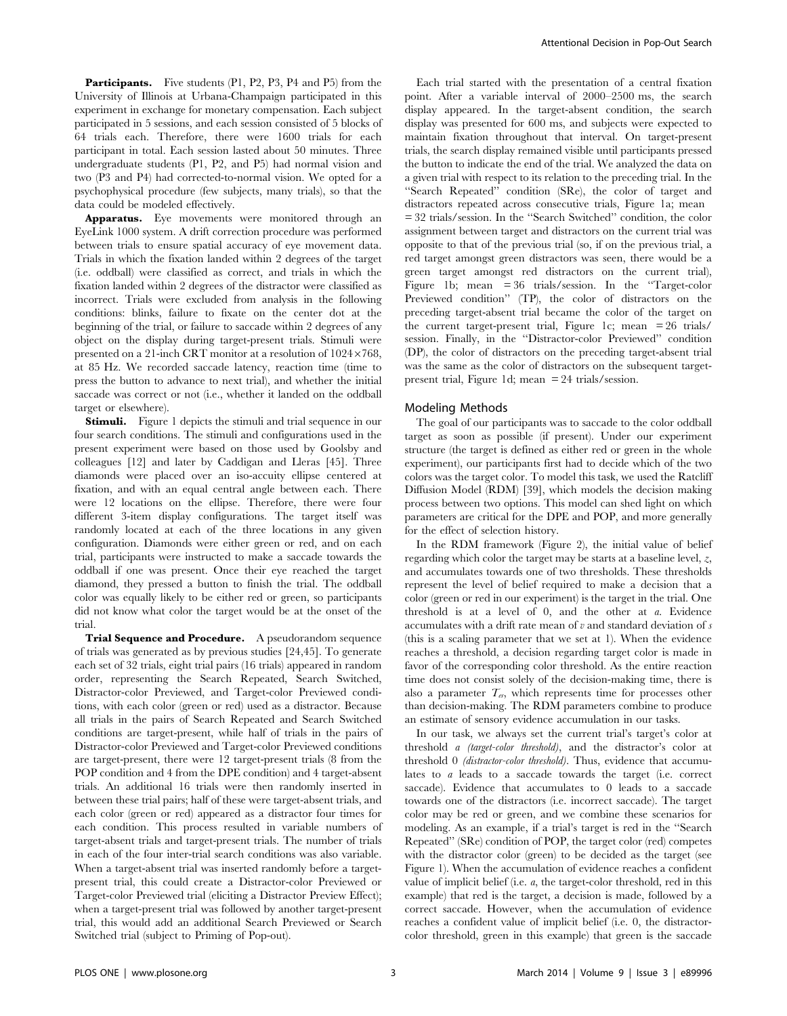Participants. Five students (P1, P2, P3, P4 and P5) from the University of Illinois at Urbana-Champaign participated in this experiment in exchange for monetary compensation. Each subject participated in 5 sessions, and each session consisted of 5 blocks of 64 trials each. Therefore, there were 1600 trials for each participant in total. Each session lasted about 50 minutes. Three undergraduate students (P1, P2, and P5) had normal vision and two (P3 and P4) had corrected-to-normal vision. We opted for a psychophysical procedure (few subjects, many trials), so that the data could be modeled effectively.

Apparatus. Eye movements were monitored through an EyeLink 1000 system. A drift correction procedure was performed between trials to ensure spatial accuracy of eye movement data. Trials in which the fixation landed within 2 degrees of the target (i.e. oddball) were classified as correct, and trials in which the fixation landed within 2 degrees of the distractor were classified as incorrect. Trials were excluded from analysis in the following conditions: blinks, failure to fixate on the center dot at the beginning of the trial, or failure to saccade within 2 degrees of any object on the display during target-present trials. Stimuli were presented on a 21-inch CRT monitor at a resolution of  $1024\times768$ , at 85 Hz. We recorded saccade latency, reaction time (time to press the button to advance to next trial), and whether the initial saccade was correct or not (i.e., whether it landed on the oddball target or elsewhere).

**Stimuli.** Figure 1 depicts the stimuli and trial sequence in our four search conditions. The stimuli and configurations used in the present experiment were based on those used by Goolsby and colleagues [12] and later by Caddigan and Lleras [45]. Three diamonds were placed over an iso-accuity ellipse centered at fixation, and with an equal central angle between each. There were 12 locations on the ellipse. Therefore, there were four different 3-item display configurations. The target itself was randomly located at each of the three locations in any given configuration. Diamonds were either green or red, and on each trial, participants were instructed to make a saccade towards the oddball if one was present. Once their eye reached the target diamond, they pressed a button to finish the trial. The oddball color was equally likely to be either red or green, so participants did not know what color the target would be at the onset of the trial.

Trial Sequence and Procedure. A pseudorandom sequence of trials was generated as by previous studies [24,45]. To generate each set of 32 trials, eight trial pairs (16 trials) appeared in random order, representing the Search Repeated, Search Switched, Distractor-color Previewed, and Target-color Previewed conditions, with each color (green or red) used as a distractor. Because all trials in the pairs of Search Repeated and Search Switched conditions are target-present, while half of trials in the pairs of Distractor-color Previewed and Target-color Previewed conditions are target-present, there were 12 target-present trials (8 from the POP condition and 4 from the DPE condition) and 4 target-absent trials. An additional 16 trials were then randomly inserted in between these trial pairs; half of these were target-absent trials, and each color (green or red) appeared as a distractor four times for each condition. This process resulted in variable numbers of target-absent trials and target-present trials. The number of trials in each of the four inter-trial search conditions was also variable. When a target-absent trial was inserted randomly before a targetpresent trial, this could create a Distractor-color Previewed or Target-color Previewed trial (eliciting a Distractor Preview Effect); when a target-present trial was followed by another target-present trial, this would add an additional Search Previewed or Search Switched trial (subject to Priming of Pop-out).

Each trial started with the presentation of a central fixation point. After a variable interval of 2000–2500 ms, the search display appeared. In the target-absent condition, the search display was presented for 600 ms, and subjects were expected to maintain fixation throughout that interval. On target-present trials, the search display remained visible until participants pressed the button to indicate the end of the trial. We analyzed the data on a given trial with respect to its relation to the preceding trial. In the ''Search Repeated'' condition (SRe), the color of target and distractors repeated across consecutive trials, Figure 1a; mean = 32 trials/session. In the ''Search Switched'' condition, the color assignment between target and distractors on the current trial was opposite to that of the previous trial (so, if on the previous trial, a red target amongst green distractors was seen, there would be a green target amongst red distractors on the current trial), Figure 1b; mean = 36 trials/session. In the ''Target-color Previewed condition" (TP), the color of distractors on the preceding target-absent trial became the color of the target on the current target-present trial, Figure 1c; mean = 26 trials/ session. Finally, in the ''Distractor-color Previewed'' condition (DP), the color of distractors on the preceding target-absent trial was the same as the color of distractors on the subsequent targetpresent trial, Figure 1d; mean = 24 trials/session.

#### Modeling Methods

The goal of our participants was to saccade to the color oddball target as soon as possible (if present). Under our experiment structure (the target is defined as either red or green in the whole experiment), our participants first had to decide which of the two colors was the target color. To model this task, we used the Ratcliff Diffusion Model (RDM) [39], which models the decision making process between two options. This model can shed light on which parameters are critical for the DPE and POP, and more generally for the effect of selection history.

In the RDM framework (Figure 2), the initial value of belief regarding which color the target may be starts at a baseline level,  $z$ , and accumulates towards one of two thresholds. These thresholds represent the level of belief required to make a decision that a color (green or red in our experiment) is the target in the trial. One threshold is at a level of 0, and the other at a. Evidence accumulates with a drift rate mean of  $v$  and standard deviation of  $s$ (this is a scaling parameter that we set at 1). When the evidence reaches a threshold, a decision regarding target color is made in favor of the corresponding color threshold. As the entire reaction time does not consist solely of the decision-making time, there is also a parameter  $T_{en}$ , which represents time for processes other than decision-making. The RDM parameters combine to produce an estimate of sensory evidence accumulation in our tasks.

In our task, we always set the current trial's target's color at threshold a (target-color threshold), and the distractor's color at threshold 0 (distractor-color threshold). Thus, evidence that accumulates to a leads to a saccade towards the target (i.e. correct saccade). Evidence that accumulates to 0 leads to a saccade towards one of the distractors (i.e. incorrect saccade). The target color may be red or green, and we combine these scenarios for modeling. As an example, if a trial's target is red in the ''Search Repeated'' (SRe) condition of POP, the target color (red) competes with the distractor color (green) to be decided as the target (see Figure 1). When the accumulation of evidence reaches a confident value of implicit belief (i.e. a, the target-color threshold, red in this example) that red is the target, a decision is made, followed by a correct saccade. However, when the accumulation of evidence reaches a confident value of implicit belief (i.e. 0, the distractorcolor threshold, green in this example) that green is the saccade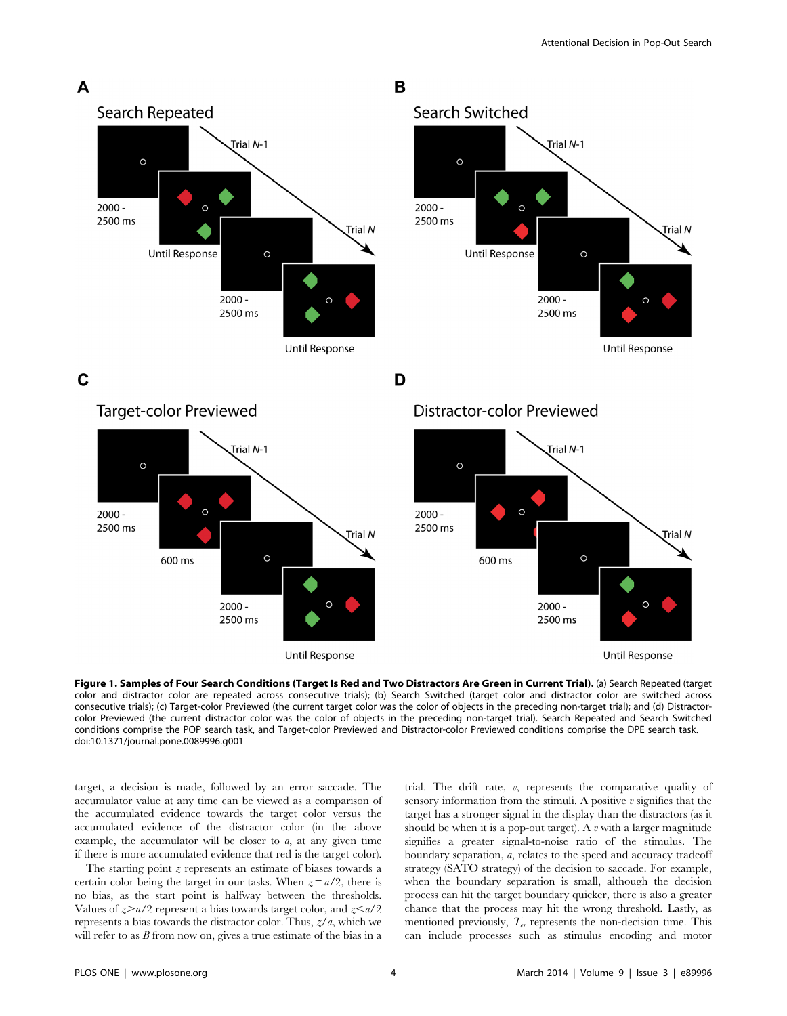

Figure 1. Samples of Four Search Conditions (Target Is Red and Two Distractors Are Green in Current Trial). (a) Search Repeated (target color and distractor color are repeated across consecutive trials); (b) Search Switched (target color and distractor color are switched across consecutive trials); (c) Target-color Previewed (the current target color was the color of objects in the preceding non-target trial); and (d) Distractorcolor Previewed (the current distractor color was the color of objects in the preceding non-target trial). Search Repeated and Search Switched conditions comprise the POP search task, and Target-color Previewed and Distractor-color Previewed conditions comprise the DPE search task. doi:10.1371/journal.pone.0089996.g001

target, a decision is made, followed by an error saccade. The accumulator value at any time can be viewed as a comparison of the accumulated evidence towards the target color versus the accumulated evidence of the distractor color (in the above example, the accumulator will be closer to  $a$ , at any given time if there is more accumulated evidence that red is the target color).

The starting point  $z$  represents an estimate of biases towards a certain color being the target in our tasks. When  $z = a/2$ , there is no bias, as the start point is halfway between the thresholds. Values of  $z > a/2$  represent a bias towards target color, and  $z \le a/2$ represents a bias towards the distractor color. Thus,  $z/a$ , which we will refer to as  $B$  from now on, gives a true estimate of the bias in a trial. The drift rate, v, represents the comparative quality of sensory information from the stimuli. A positive  $v$  signifies that the target has a stronger signal in the display than the distractors (as it should be when it is a pop-out target). A  $v$  with a larger magnitude signifies a greater signal-to-noise ratio of the stimulus. The boundary separation, a, relates to the speed and accuracy tradeoff strategy (SATO strategy) of the decision to saccade. For example, when the boundary separation is small, although the decision process can hit the target boundary quicker, there is also a greater chance that the process may hit the wrong threshold. Lastly, as mentioned previously,  $T_{er}$  represents the non-decision time. This can include processes such as stimulus encoding and motor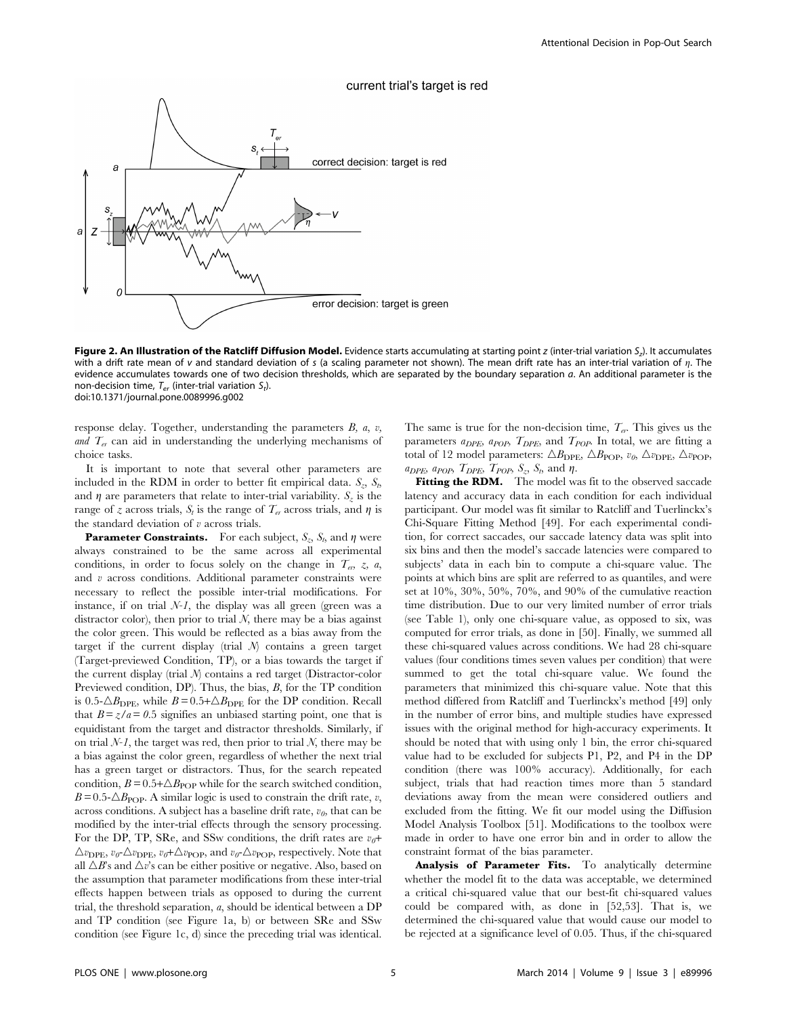#### current trial's target is red



Figure 2. An Illustration of the Ratcliff Diffusion Model. Evidence starts accumulating at starting point  $z$  (inter-trial variation  $S_z$ ). It accumulates with a drift rate mean of v and standard deviation of s (a scaling parameter not shown). The mean drift rate has an inter-trial variation of  $\eta$ . The evidence accumulates towards one of two decision thresholds, which are separated by the boundary separation a. An additional parameter is the non-decision time,  $T_{er}$  (inter-trial variation  $S_t$ ). doi:10.1371/journal.pone.0089996.g002

response delay. Together, understanding the parameters  $B$ ,  $a$ ,  $v$ , and  $T_{er}$  can aid in understanding the underlying mechanisms of choice tasks.

It is important to note that several other parameters are included in the RDM in order to better fit empirical data.  $S_z$ ,  $S_t$ , and  $\eta$  are parameters that relate to inter-trial variability.  $S_z$  is the range of z across trials,  $S_t$  is the range of  $T_{er}$  across trials, and  $\eta$  is the standard deviation of  $v$  across trials.

**Parameter Constraints.** For each subject,  $S_z$ ,  $S_t$ , and  $\eta$  were always constrained to be the same across all experimental conditions, in order to focus solely on the change in  $T_{en}$ , z, a, and  $v$  across conditions. Additional parameter constraints were necessary to reflect the possible inter-trial modifications. For instance, if on trial  $N-1$ , the display was all green (green was a distractor color), then prior to trial  $N$ , there may be a bias against the color green. This would be reflected as a bias away from the target if the current display (trial  $\mathcal{N}$ ) contains a green target (Target-previewed Condition, TP), or a bias towards the target if the current display (trial  $\mathcal N$ ) contains a red target (Distractor-color Previewed condition, DP). Thus, the bias, B, for the TP condition is 0.5- $\triangle B_{\text{DPE}}$ , while  $B = 0.5+\triangle B_{\text{DPE}}$  for the DP condition. Recall that  $B = z/a = 0.5$  signifies an unbiased starting point, one that is equidistant from the target and distractor thresholds. Similarly, if on trial  $N-1$ , the target was red, then prior to trial  $N$ , there may be a bias against the color green, regardless of whether the next trial has a green target or distractors. Thus, for the search repeated condition,  $B = 0.5 + \Delta B_{\text{POP}}$  while for the search switched condition,  $B = 0.5-\triangle B_{\text{POP}}$ . A similar logic is used to constrain the drift rate, v, across conditions. A subject has a baseline drift rate,  $v_0$ , that can be modified by the inter-trial effects through the sensory processing. For the DP, TP, SRe, and SSw conditions, the drift rates are  $v_0$ +  $\Delta v_{\rm DPE}$ ,  $v_{\rm 0}$ - $\Delta v_{\rm DPE}$ ,  $v_{\rm 0}$ + $\Delta v_{\rm POP}$ , and  $v_{\rm 0}$ - $\Delta v_{\rm POP}$ , respectively. Note that all  $\triangle B$ 's and  $\triangle v$ 's can be either positive or negative. Also, based on the assumption that parameter modifications from these inter-trial effects happen between trials as opposed to during the current trial, the threshold separation, a, should be identical between a DP and TP condition (see Figure 1a, b) or between SRe and SSw condition (see Figure 1c, d) since the preceding trial was identical.

The same is true for the non-decision time,  $T_{er}$ . This gives us the parameters  $a_{DPE}$ ,  $a_{POP}$ ,  $T_{DPE}$ , and  $T_{POP}$ . In total, we are fitting a total of 12 model parameters:  $\triangle B_{\text{DPE}}, \triangle B_{\text{POP}}, v_0, \triangle v_{\text{DPE}}, \triangle v_{\text{POP}}$  $a_{DPE}$ ,  $a_{POP}$ ,  $T_{DPE}$ ,  $T_{POP}$ ,  $S_z$ ,  $S_t$ , and  $\eta$ .

Fitting the RDM. The model was fit to the observed saccade latency and accuracy data in each condition for each individual participant. Our model was fit similar to Ratcliff and Tuerlinckx's Chi-Square Fitting Method [49]. For each experimental condition, for correct saccades, our saccade latency data was split into six bins and then the model's saccade latencies were compared to subjects' data in each bin to compute a chi-square value. The points at which bins are split are referred to as quantiles, and were set at 10%, 30%, 50%, 70%, and 90% of the cumulative reaction time distribution. Due to our very limited number of error trials (see Table 1), only one chi-square value, as opposed to six, was computed for error trials, as done in [50]. Finally, we summed all these chi-squared values across conditions. We had 28 chi-square values (four conditions times seven values per condition) that were summed to get the total chi-square value. We found the parameters that minimized this chi-square value. Note that this method differed from Ratcliff and Tuerlinckx's method [49] only in the number of error bins, and multiple studies have expressed issues with the original method for high-accuracy experiments. It should be noted that with using only 1 bin, the error chi-squared value had to be excluded for subjects P1, P2, and P4 in the DP condition (there was 100% accuracy). Additionally, for each subject, trials that had reaction times more than 5 standard deviations away from the mean were considered outliers and excluded from the fitting. We fit our model using the Diffusion Model Analysis Toolbox [51]. Modifications to the toolbox were made in order to have one error bin and in order to allow the constraint format of the bias parameter.

Analysis of Parameter Fits. To analytically determine whether the model fit to the data was acceptable, we determined a critical chi-squared value that our best-fit chi-squared values could be compared with, as done in [52,53]. That is, we determined the chi-squared value that would cause our model to be rejected at a significance level of 0.05. Thus, if the chi-squared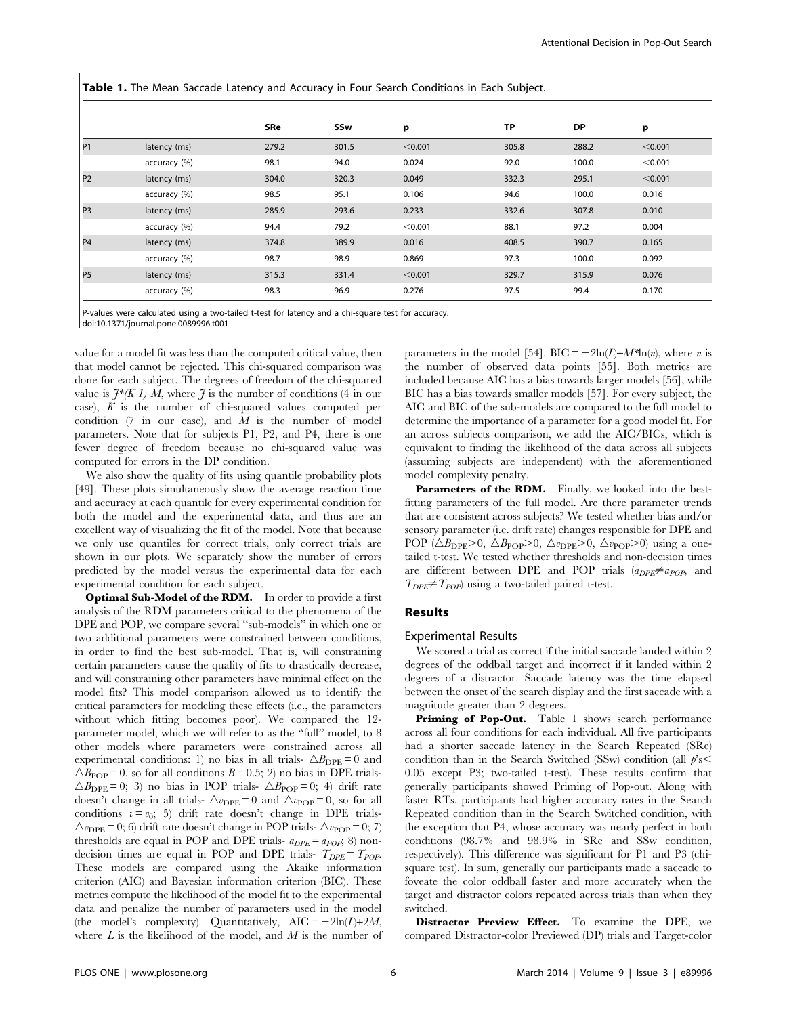Table 1. The Mean Saccade Latency and Accuracy in Four Search Conditions in Each Subject.

|                |              | SRe   | SSw   | p       | ТP    | DP    | p       |
|----------------|--------------|-------|-------|---------|-------|-------|---------|
| P1             | latency (ms) | 279.2 | 301.5 | < 0.001 | 305.8 | 288.2 | < 0.001 |
|                | accuracy (%) | 98.1  | 94.0  | 0.024   | 92.0  | 100.0 | < 0.001 |
| P <sub>2</sub> | latency (ms) | 304.0 | 320.3 | 0.049   | 332.3 | 295.1 | < 0.001 |
|                | accuracy (%) | 98.5  | 95.1  | 0.106   | 94.6  | 100.0 | 0.016   |
| P <sub>3</sub> | latency (ms) | 285.9 | 293.6 | 0.233   | 332.6 | 307.8 | 0.010   |
|                | accuracy (%) | 94.4  | 79.2  | < 0.001 | 88.1  | 97.2  | 0.004   |
| P4             | latency (ms) | 374.8 | 389.9 | 0.016   | 408.5 | 390.7 | 0.165   |
|                | accuracy (%) | 98.7  | 98.9  | 0.869   | 97.3  | 100.0 | 0.092   |
| P5             | latency (ms) | 315.3 | 331.4 | < 0.001 | 329.7 | 315.9 | 0.076   |
|                | accuracy (%) | 98.3  | 96.9  | 0.276   | 97.5  | 99.4  | 0.170   |

P-values were calculated using a two-tailed t-test for latency and a chi-square test for accuracy. doi:10.1371/journal.pone.0089996.t001

value for a model fit was less than the computed critical value, then that model cannot be rejected. This chi-squared comparison was done for each subject. The degrees of freedom of the chi-squared value is  $\tilde{\mathcal{J}}^*(K-1)-M$ , where  $\tilde{\mathcal{J}}$  is the number of conditions (4 in our case), K is the number of chi-squared values computed per condition  $(7 \text{ in our case})$ , and  $M$  is the number of model parameters. Note that for subjects P1, P2, and P4, there is one fewer degree of freedom because no chi-squared value was computed for errors in the DP condition.

We also show the quality of fits using quantile probability plots [49]. These plots simultaneously show the average reaction time and accuracy at each quantile for every experimental condition for both the model and the experimental data, and thus are an excellent way of visualizing the fit of the model. Note that because we only use quantiles for correct trials, only correct trials are shown in our plots. We separately show the number of errors predicted by the model versus the experimental data for each experimental condition for each subject.

Optimal Sub-Model of the RDM. In order to provide a first analysis of the RDM parameters critical to the phenomena of the DPE and POP, we compare several ''sub-models'' in which one or two additional parameters were constrained between conditions, in order to find the best sub-model. That is, will constraining certain parameters cause the quality of fits to drastically decrease, and will constraining other parameters have minimal effect on the model fits? This model comparison allowed us to identify the critical parameters for modeling these effects (i.e., the parameters without which fitting becomes poor). We compared the 12 parameter model, which we will refer to as the ''full'' model, to 8 other models where parameters were constrained across all experimental conditions: 1) no bias in all trials-  $\triangle B_{\text{DPE}}= 0$  and  $\Delta B_{\text{POP}} = 0$ , so for all conditions  $B = 0.5$ ; 2) no bias in DPE trials- $\Delta B_{\text{DPE}} = 0$ ; 3) no bias in POP trials-  $\Delta B_{\text{POP}} = 0$ ; 4) drift rate doesn't change in all trials-  $\Delta v_{\rm DPE}= 0$  and  $\Delta v_{\rm POP}= 0$ , so for all conditions  $v = v_0$ ; 5) drift rate doesn't change in DPE trials- $\Delta v_{\text{DPE}} = 0$ ; 6) drift rate doesn't change in POP trials-  $\Delta v_{\text{POP}} = 0$ ; 7) thresholds are equal in POP and DPE trials- $a_{DPE}=a_{POP}$ ; 8) nondecision times are equal in POP and DPE trials-  $T_{DPE} = T_{POP}$ . These models are compared using the Akaike information criterion (AIC) and Bayesian information criterion (BIC). These metrics compute the likelihood of the model fit to the experimental data and penalize the number of parameters used in the model (the model's complexity). Quantitatively,  $AIC = -2\ln(L) + 2M$ , where  $L$  is the likelihood of the model, and  $M$  is the number of parameters in the model [54]. BIC =  $-2\ln(L)+M^*ln(n)$ , where *n* is the number of observed data points [55]. Both metrics are included because AIC has a bias towards larger models [56], while BIC has a bias towards smaller models [57]. For every subject, the AIC and BIC of the sub-models are compared to the full model to determine the importance of a parameter for a good model fit. For an across subjects comparison, we add the AIC/BICs, which is equivalent to finding the likelihood of the data across all subjects (assuming subjects are independent) with the aforementioned model complexity penalty.

Parameters of the RDM. Finally, we looked into the bestfitting parameters of the full model. Are there parameter trends that are consistent across subjects? We tested whether bias and/or sensory parameter (i.e. drift rate) changes responsible for DPE and POP ( $\triangle B_{\text{DPE}}$ >0,  $\triangle B_{\text{POP}}$ ),  $\triangle v_{\text{DPE}}$ >0,  $\triangle v_{\text{POP}}$ ) using a onetailed t-test. We tested whether thresholds and non-decision times are different between DPE and POP trials  $(a_{DPE} \neq a_{POP}$ , and  $T_{DPE} \neq T_{POP}$  using a two-tailed paired t-test.

#### Results

#### Experimental Results

We scored a trial as correct if the initial saccade landed within 2 degrees of the oddball target and incorrect if it landed within 2 degrees of a distractor. Saccade latency was the time elapsed between the onset of the search display and the first saccade with a magnitude greater than 2 degrees.

Priming of Pop-Out. Table 1 shows search performance across all four conditions for each individual. All five participants had a shorter saccade latency in the Search Repeated (SRe) condition than in the Search Switched (SSw) condition (all  $p's$ 0.05 except P3; two-tailed t-test). These results confirm that generally participants showed Priming of Pop-out. Along with faster RTs, participants had higher accuracy rates in the Search Repeated condition than in the Search Switched condition, with the exception that P4, whose accuracy was nearly perfect in both conditions (98.7% and 98.9% in SRe and SSw condition, respectively). This difference was significant for P1 and P3 (chisquare test). In sum, generally our participants made a saccade to foveate the color oddball faster and more accurately when the target and distractor colors repeated across trials than when they switched.

Distractor Preview Effect. To examine the DPE, we compared Distractor-color Previewed (DP) trials and Target-color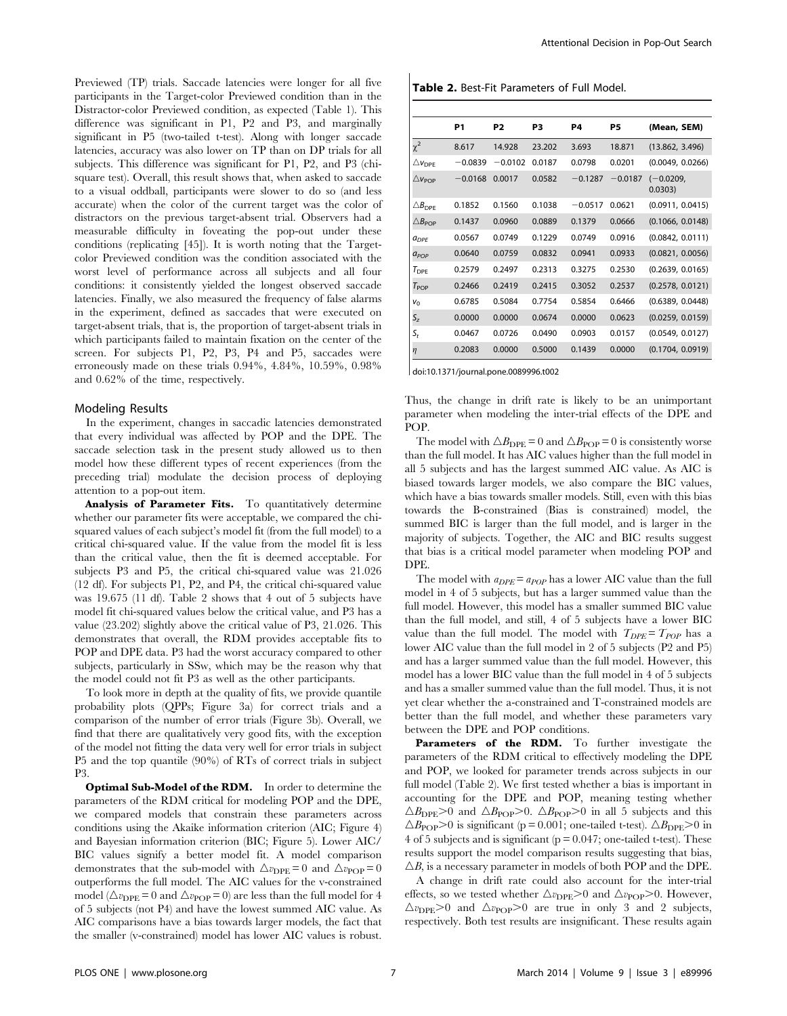Previewed (TP) trials. Saccade latencies were longer for all five participants in the Target-color Previewed condition than in the Distractor-color Previewed condition, as expected (Table 1). This difference was significant in P1, P2 and P3, and marginally significant in P5 (two-tailed t-test). Along with longer saccade latencies, accuracy was also lower on TP than on DP trials for all subjects. This difference was significant for P1, P2, and P3 (chisquare test). Overall, this result shows that, when asked to saccade to a visual oddball, participants were slower to do so (and less accurate) when the color of the current target was the color of distractors on the previous target-absent trial. Observers had a measurable difficulty in foveating the pop-out under these conditions (replicating [45]). It is worth noting that the Targetcolor Previewed condition was the condition associated with the worst level of performance across all subjects and all four conditions: it consistently yielded the longest observed saccade latencies. Finally, we also measured the frequency of false alarms in the experiment, defined as saccades that were executed on target-absent trials, that is, the proportion of target-absent trials in which participants failed to maintain fixation on the center of the screen. For subjects P1, P2, P3, P4 and P5, saccades were erroneously made on these trials 0.94%, 4.84%, 10.59%, 0.98% and 0.62% of the time, respectively.

#### Modeling Results

In the experiment, changes in saccadic latencies demonstrated that every individual was affected by POP and the DPE. The saccade selection task in the present study allowed us to then model how these different types of recent experiences (from the preceding trial) modulate the decision process of deploying attention to a pop-out item.

Analysis of Parameter Fits. To quantitatively determine whether our parameter fits were acceptable, we compared the chisquared values of each subject's model fit (from the full model) to a critical chi-squared value. If the value from the model fit is less than the critical value, then the fit is deemed acceptable. For subjects P3 and P5, the critical chi-squared value was 21.026 (12 df). For subjects P1, P2, and P4, the critical chi-squared value was 19.675 (11 df). Table 2 shows that 4 out of 5 subjects have model fit chi-squared values below the critical value, and P3 has a value (23.202) slightly above the critical value of P3, 21.026. This demonstrates that overall, the RDM provides acceptable fits to POP and DPE data. P3 had the worst accuracy compared to other subjects, particularly in SSw, which may be the reason why that the model could not fit P3 as well as the other participants.

To look more in depth at the quality of fits, we provide quantile probability plots (QPPs; Figure 3a) for correct trials and a comparison of the number of error trials (Figure 3b). Overall, we find that there are qualitatively very good fits, with the exception of the model not fitting the data very well for error trials in subject P5 and the top quantile (90%) of RTs of correct trials in subject P3.

Optimal Sub-Model of the RDM. In order to determine the parameters of the RDM critical for modeling POP and the DPE, we compared models that constrain these parameters across conditions using the Akaike information criterion (AIC; Figure 4) and Bayesian information criterion (BIC; Figure 5). Lower AIC/ BIC values signify a better model fit. A model comparison demonstrates that the sub-model with  $\triangle v_{\text{DPE}}= 0$  and  $\triangle v_{\text{POP}}= 0$ outperforms the full model. The AIC values for the v-constrained model ( $\triangle v_{\text{DPE}}= 0$  and  $\triangle v_{\text{POP}}= 0$ ) are less than the full model for 4 of 5 subjects (not P4) and have the lowest summed AIC value. As AIC comparisons have a bias towards larger models, the fact that the smaller (v-constrained) model has lower AIC values is robust.

Table 2. Best-Fit Parameters of Full Model.

|                                     | P1        | P <sub>2</sub> | P3     | P4        | P5        | (Mean, SEM)            |
|-------------------------------------|-----------|----------------|--------|-----------|-----------|------------------------|
| $\chi^2$                            | 8.617     | 14.928         | 23.202 | 3.693     | 18.871    | (13.862, 3.496)        |
| $\triangle$ <i>V</i> <sub>DPE</sub> | $-0.0839$ | $-0.0102$      | 0.0187 | 0.0798    | 0.0201    | (0.0049, 0.0266)       |
| $\triangle$ V <sub>POP</sub>        | $-0.0168$ | 0.0017         | 0.0582 | $-0.1287$ | $-0.0187$ | $(-0.0209,$<br>0.0303) |
| $\triangle B_{\sf DPF}$             | 0.1852    | 0.1560         | 0.1038 | $-0.0517$ | 0.0621    | (0.0911, 0.0415)       |
| $\triangle B_{\mathsf{POP}}$        | 0.1437    | 0.0960         | 0.0889 | 0.1379    | 0.0666    | (0.1066, 0.0148)       |
| $a_{DPE}$                           | 0.0567    | 0.0749         | 0.1229 | 0.0749    | 0.0916    | (0.0842, 0.0111)       |
| $a_{POP}$                           | 0.0640    | 0.0759         | 0.0832 | 0.0941    | 0.0933    | (0.0821, 0.0056)       |
| $T_{\rm{DPF}}$                      | 0.2579    | 0.2497         | 0.2313 | 0.3275    | 0.2530    | (0.2639, 0.0165)       |
| $T_{POP}$                           | 0.2466    | 0.2419         | 0.2415 | 0.3052    | 0.2537    | (0.2578, 0.0121)       |
| $V_0$                               | 0.6785    | 0.5084         | 0.7754 | 0.5854    | 0.6466    | (0.6389, 0.0448)       |
| $S_z$                               | 0.0000    | 0.0000         | 0.0674 | 0.0000    | 0.0623    | (0.0259, 0.0159)       |
| $S_t$                               | 0.0467    | 0.0726         | 0.0490 | 0.0903    | 0.0157    | (0.0549, 0.0127)       |
| $\eta$                              | 0.2083    | 0.0000         | 0.5000 | 0.1439    | 0.0000    | (0.1704, 0.0919)       |

doi:10.1371/journal.pone.0089996.t002

Thus, the change in drift rate is likely to be an unimportant parameter when modeling the inter-trial effects of the DPE and POP.

The model with  $\triangle B_{\text{DPE}}= 0$  and  $\triangle B_{\text{POP}}= 0$  is consistently worse than the full model. It has AIC values higher than the full model in all 5 subjects and has the largest summed AIC value. As AIC is biased towards larger models, we also compare the BIC values, which have a bias towards smaller models. Still, even with this bias towards the B-constrained (Bias is constrained) model, the summed BIC is larger than the full model, and is larger in the majority of subjects. Together, the AIC and BIC results suggest that bias is a critical model parameter when modeling POP and DPE.

The model with  $a_{DPE} = a_{POP}$  has a lower AIC value than the full model in 4 of 5 subjects, but has a larger summed value than the full model. However, this model has a smaller summed BIC value than the full model, and still, 4 of 5 subjects have a lower BIC value than the full model. The model with  $T_{DPE} = T_{POP}$  has a lower AIC value than the full model in 2 of 5 subjects (P2 and P5) and has a larger summed value than the full model. However, this model has a lower BIC value than the full model in 4 of 5 subjects and has a smaller summed value than the full model. Thus, it is not yet clear whether the a-constrained and T-constrained models are better than the full model, and whether these parameters vary between the DPE and POP conditions.

Parameters of the RDM. To further investigate the parameters of the RDM critical to effectively modeling the DPE and POP, we looked for parameter trends across subjects in our full model (Table 2). We first tested whether a bias is important in accounting for the DPE and POP, meaning testing whether  $\triangle B_{\text{DPE}}$ >0 and  $\triangle B_{\text{POP}}$ >0.  $\triangle B_{\text{POP}}$ >0 in all 5 subjects and this  $\triangle B_{\text{POP}} > 0$  is significant (p = 0.001; one-tailed t-test).  $\triangle B_{\text{DPE}} > 0$  in 4 of 5 subjects and is significant ( $p = 0.047$ ; one-tailed t-test). These results support the model comparison results suggesting that bias,  $\triangle B$ , is a necessary parameter in models of both POP and the DPE.

A change in drift rate could also account for the inter-trial effects, so we tested whether  $\triangle v_{\text{DPE}} > 0$  and  $\triangle v_{\text{POP}} > 0$ . However,  $\Delta v_{\text{DPE}} > 0$  and  $\Delta v_{\text{POP}} > 0$  are true in only 3 and 2 subjects, respectively. Both test results are insignificant. These results again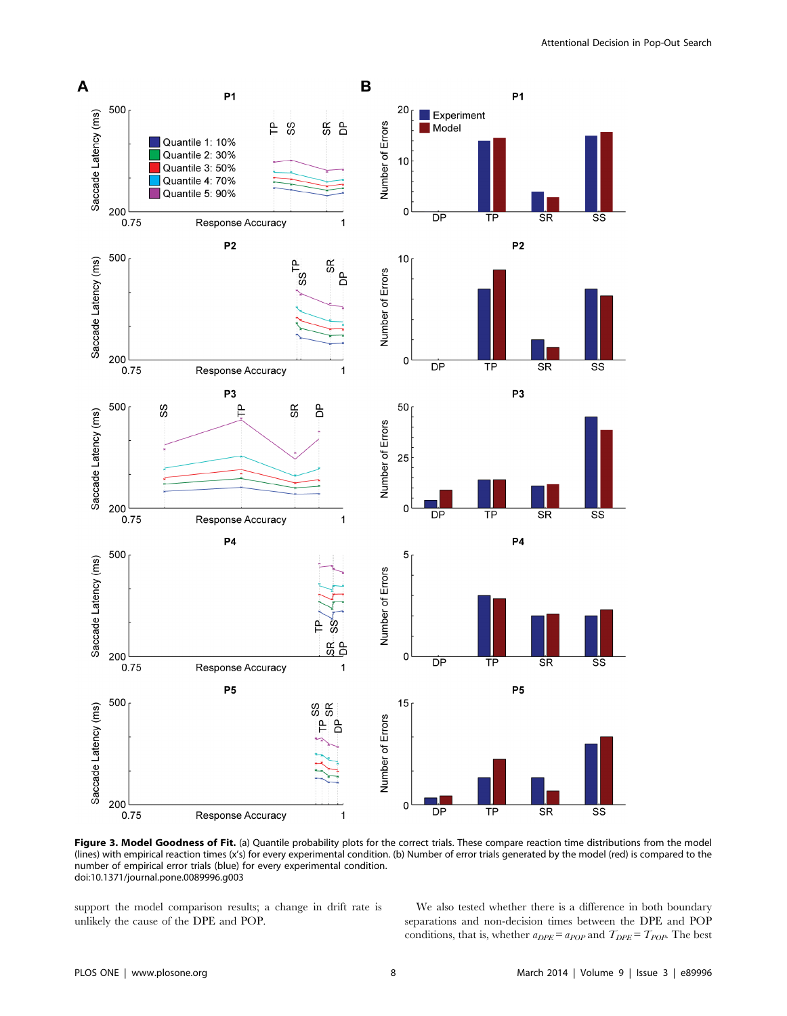

Figure 3. Model Goodness of Fit. (a) Quantile probability plots for the correct trials. These compare reaction time distributions from the model (lines) with empirical reaction times (x's) for every experimental condition. (b) Number of error trials generated by the model (red) is compared to the number of empirical error trials (blue) for every experimental condition. doi:10.1371/journal.pone.0089996.g003

support the model comparison results; a change in drift rate is unlikely the cause of the DPE and POP.

We also tested whether there is a difference in both boundary separations and non-decision times between the DPE and POP conditions, that is, whether  $a_{DPE} = a_{POP}$  and  $T_{DPE} = T_{POP}$ . The best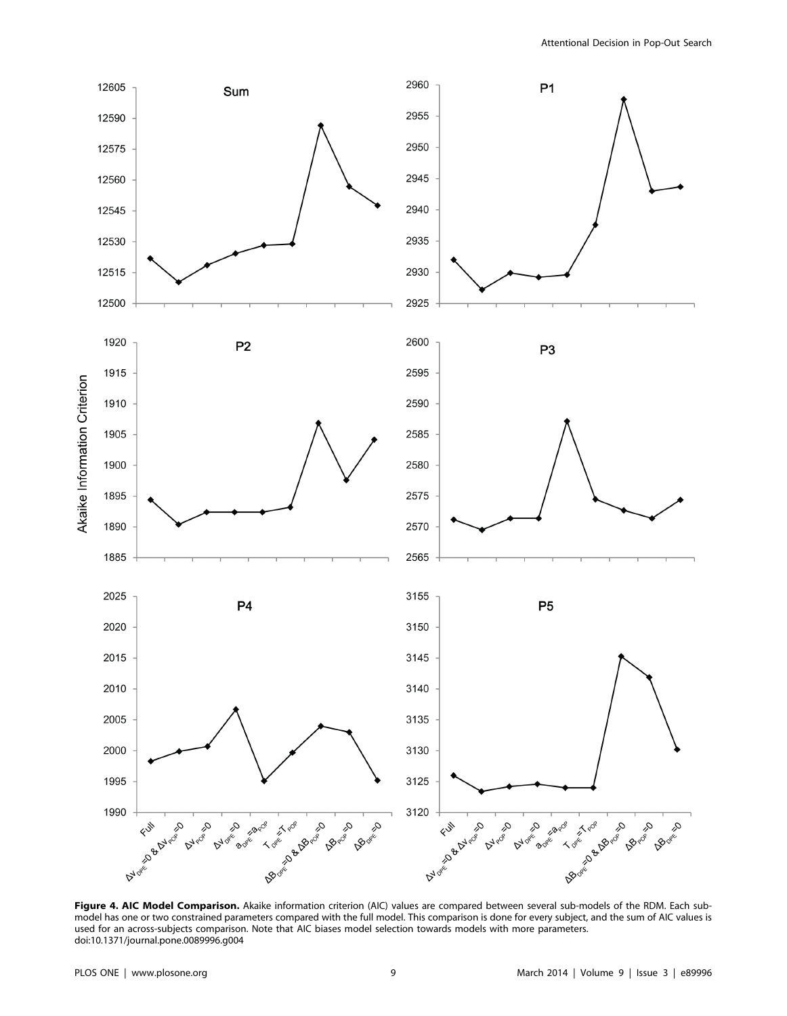

Figure 4. AIC Model Comparison. Akaike information criterion (AIC) values are compared between several sub-models of the RDM. Each submodel has one or two constrained parameters compared with the full model. This comparison is done for every subject, and the sum of AIC values is used for an across-subjects comparison. Note that AIC biases model selection towards models with more parameters. doi:10.1371/journal.pone.0089996.g004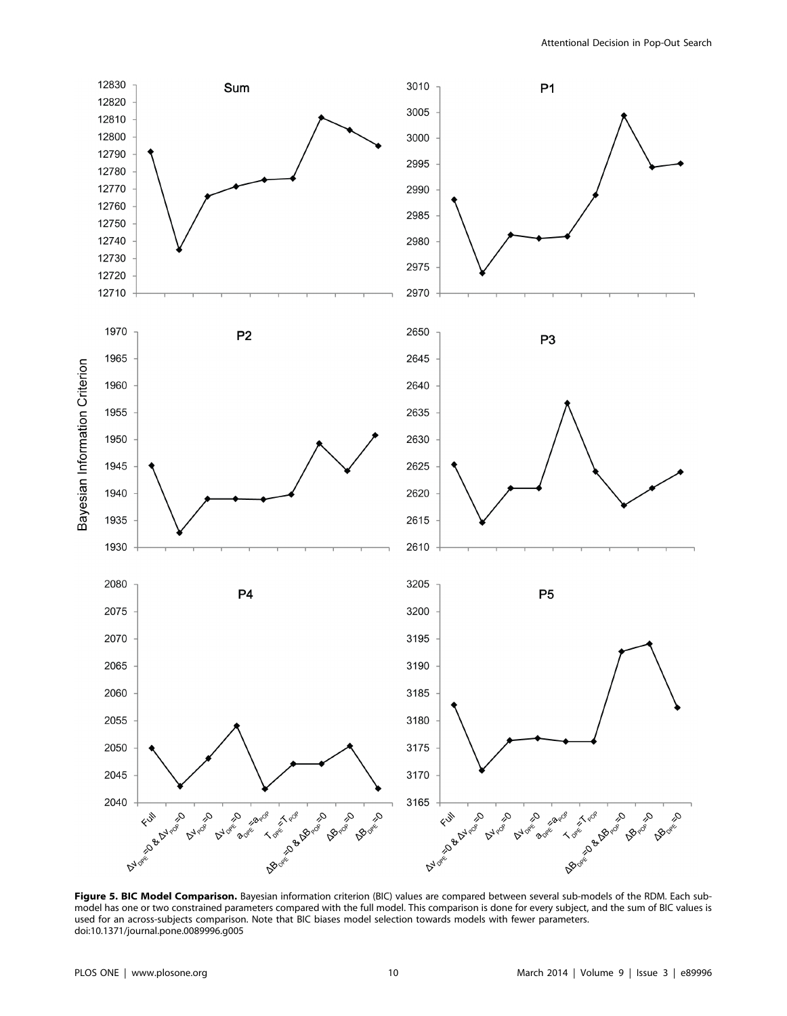

Figure 5. BIC Model Comparison. Bayesian information criterion (BIC) values are compared between several sub-models of the RDM. Each submodel has one or two constrained parameters compared with the full model. This comparison is done for every subject, and the sum of BIC values is used for an across-subjects comparison. Note that BIC biases model selection towards models with fewer parameters. doi:10.1371/journal.pone.0089996.g005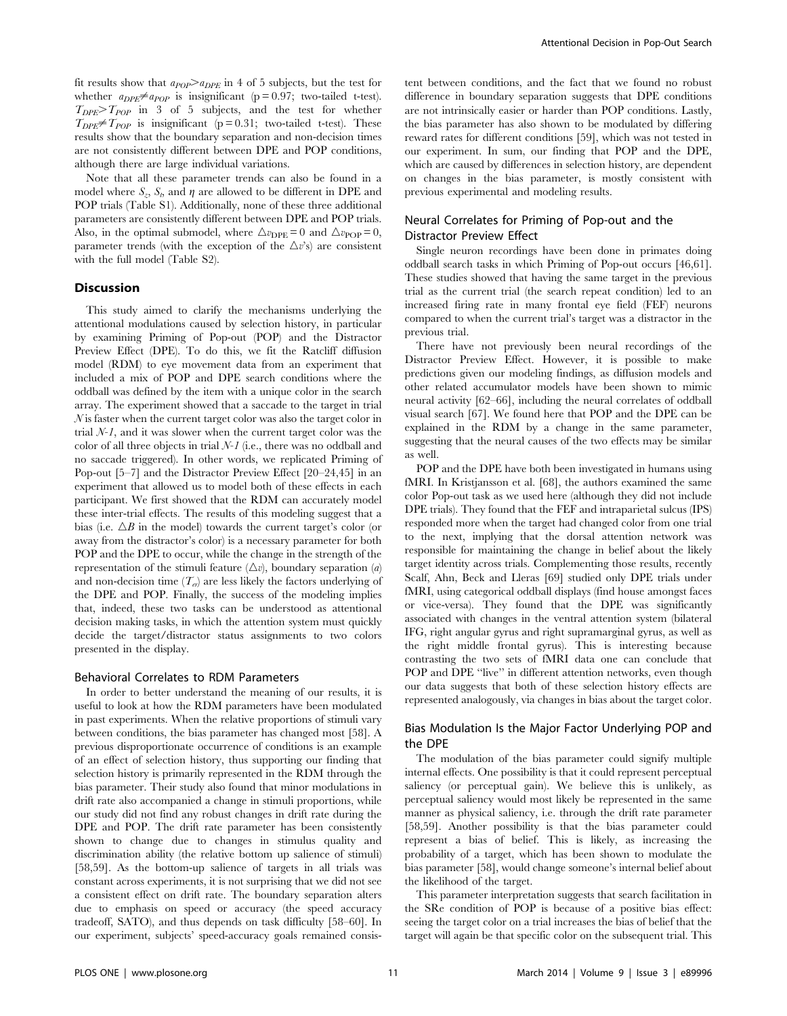fit results show that  $a_{POP} > a_{DPE}$  in 4 of 5 subjects, but the test for whether  $a_{DPE} \neq a_{POP}$  is insignificant (p = 0.97; two-tailed t-test).  $T_{DPE}$  $\ge$   $T_{POP}$  in 3 of 5 subjects, and the test for whether  $T_{DPE} \neq T_{POP}$  is insignificant (p = 0.31; two-tailed t-test). These results show that the boundary separation and non-decision times are not consistently different between DPE and POP conditions, although there are large individual variations.

Note that all these parameter trends can also be found in a model where  $S_z$ ,  $S_b$  and  $\eta$  are allowed to be different in DPE and POP trials (Table S1). Additionally, none of these three additional parameters are consistently different between DPE and POP trials. Also, in the optimal submodel, where  $\triangle v_{\text{DPE}}= 0$  and  $\triangle v_{\text{POP}}= 0$ , parameter trends (with the exception of the  $\triangle v$ 's) are consistent with the full model (Table S2).

#### Discussion

This study aimed to clarify the mechanisms underlying the attentional modulations caused by selection history, in particular by examining Priming of Pop-out (POP) and the Distractor Preview Effect (DPE). To do this, we fit the Ratcliff diffusion model (RDM) to eye movement data from an experiment that included a mix of POP and DPE search conditions where the oddball was defined by the item with a unique color in the search array. The experiment showed that a saccade to the target in trial  $N$  is faster when the current target color was also the target color in trial  $N-1$ , and it was slower when the current target color was the color of all three objects in trial  $N-1$  (i.e., there was no oddball and no saccade triggered). In other words, we replicated Priming of Pop-out [5–7] and the Distractor Preview Effect [20–24,45] in an experiment that allowed us to model both of these effects in each participant. We first showed that the RDM can accurately model these inter-trial effects. The results of this modeling suggest that a bias (i.e.  $\triangle B$  in the model) towards the current target's color (or away from the distractor's color) is a necessary parameter for both POP and the DPE to occur, while the change in the strength of the representation of the stimuli feature  $(\Delta v)$ , boundary separation (a) and non-decision time  $(T_{\text{er}})$  are less likely the factors underlying of the DPE and POP. Finally, the success of the modeling implies that, indeed, these two tasks can be understood as attentional decision making tasks, in which the attention system must quickly decide the target/distractor status assignments to two colors presented in the display.

#### Behavioral Correlates to RDM Parameters

In order to better understand the meaning of our results, it is useful to look at how the RDM parameters have been modulated in past experiments. When the relative proportions of stimuli vary between conditions, the bias parameter has changed most [58]. A previous disproportionate occurrence of conditions is an example of an effect of selection history, thus supporting our finding that selection history is primarily represented in the RDM through the bias parameter. Their study also found that minor modulations in drift rate also accompanied a change in stimuli proportions, while our study did not find any robust changes in drift rate during the DPE and POP. The drift rate parameter has been consistently shown to change due to changes in stimulus quality and discrimination ability (the relative bottom up salience of stimuli) [58,59]. As the bottom-up salience of targets in all trials was constant across experiments, it is not surprising that we did not see a consistent effect on drift rate. The boundary separation alters due to emphasis on speed or accuracy (the speed accuracy tradeoff, SATO), and thus depends on task difficulty [58–60]. In our experiment, subjects' speed-accuracy goals remained consistent between conditions, and the fact that we found no robust difference in boundary separation suggests that DPE conditions are not intrinsically easier or harder than POP conditions. Lastly, the bias parameter has also shown to be modulated by differing reward rates for different conditions [59], which was not tested in our experiment. In sum, our finding that POP and the DPE, which are caused by differences in selection history, are dependent on changes in the bias parameter, is mostly consistent with previous experimental and modeling results.

## Neural Correlates for Priming of Pop-out and the Distractor Preview Effect

Single neuron recordings have been done in primates doing oddball search tasks in which Priming of Pop-out occurs [46,61]. These studies showed that having the same target in the previous trial as the current trial (the search repeat condition) led to an increased firing rate in many frontal eye field (FEF) neurons compared to when the current trial's target was a distractor in the previous trial.

There have not previously been neural recordings of the Distractor Preview Effect. However, it is possible to make predictions given our modeling findings, as diffusion models and other related accumulator models have been shown to mimic neural activity [62–66], including the neural correlates of oddball visual search [67]. We found here that POP and the DPE can be explained in the RDM by a change in the same parameter, suggesting that the neural causes of the two effects may be similar as well.

POP and the DPE have both been investigated in humans using fMRI. In Kristjansson et al. [68], the authors examined the same color Pop-out task as we used here (although they did not include DPE trials). They found that the FEF and intraparietal sulcus (IPS) responded more when the target had changed color from one trial to the next, implying that the dorsal attention network was responsible for maintaining the change in belief about the likely target identity across trials. Complementing those results, recently Scalf, Ahn, Beck and Lleras [69] studied only DPE trials under fMRI, using categorical oddball displays (find house amongst faces or vice-versa). They found that the DPE was significantly associated with changes in the ventral attention system (bilateral IFG, right angular gyrus and right supramarginal gyrus, as well as the right middle frontal gyrus). This is interesting because contrasting the two sets of fMRI data one can conclude that POP and DPE "live" in different attention networks, even though our data suggests that both of these selection history effects are represented analogously, via changes in bias about the target color.

## Bias Modulation Is the Major Factor Underlying POP and the DPE

The modulation of the bias parameter could signify multiple internal effects. One possibility is that it could represent perceptual saliency (or perceptual gain). We believe this is unlikely, as perceptual saliency would most likely be represented in the same manner as physical saliency, i.e. through the drift rate parameter [58,59]. Another possibility is that the bias parameter could represent a bias of belief. This is likely, as increasing the probability of a target, which has been shown to modulate the bias parameter [58], would change someone's internal belief about the likelihood of the target.

This parameter interpretation suggests that search facilitation in the SRe condition of POP is because of a positive bias effect: seeing the target color on a trial increases the bias of belief that the target will again be that specific color on the subsequent trial. This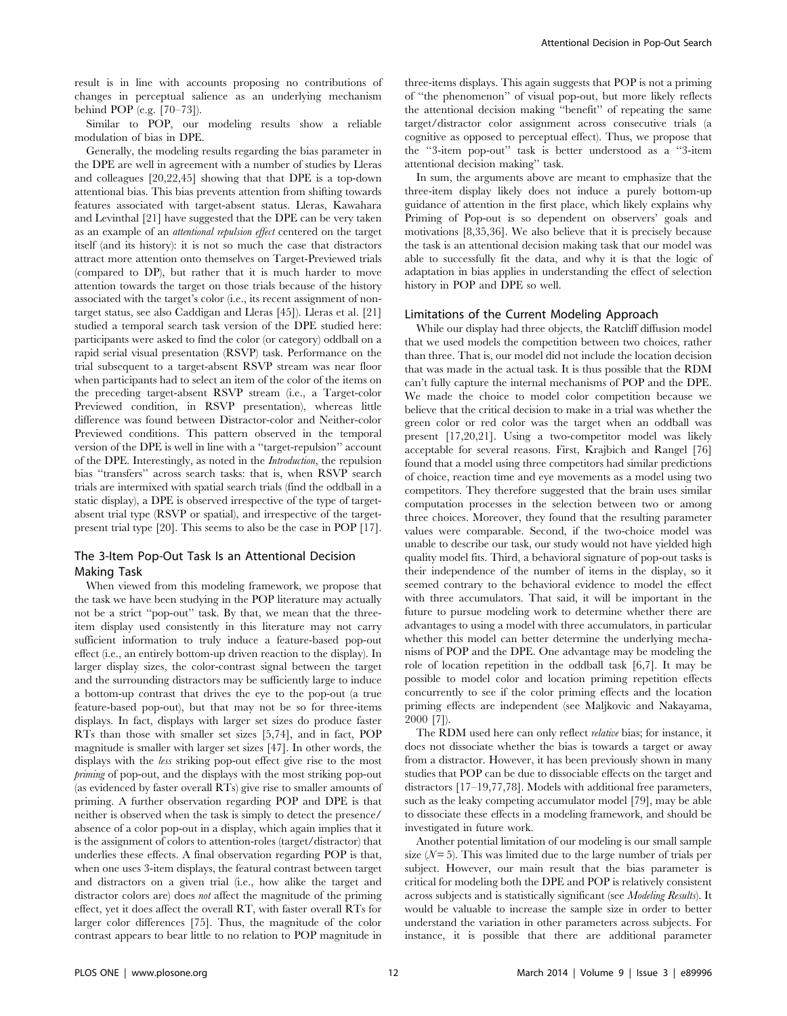result is in line with accounts proposing no contributions of changes in perceptual salience as an underlying mechanism behind POP (e.g. [70–73]).

Similar to POP, our modeling results show a reliable modulation of bias in DPE.

Generally, the modeling results regarding the bias parameter in the DPE are well in agreement with a number of studies by Lleras and colleagues [20,22,45] showing that that DPE is a top-down attentional bias. This bias prevents attention from shifting towards features associated with target-absent status. Lleras, Kawahara and Levinthal [21] have suggested that the DPE can be very taken as an example of an attentional repulsion effect centered on the target itself (and its history): it is not so much the case that distractors attract more attention onto themselves on Target-Previewed trials (compared to DP), but rather that it is much harder to move attention towards the target on those trials because of the history associated with the target's color (i.e., its recent assignment of nontarget status, see also Caddigan and Lleras [45]). Lleras et al. [21] studied a temporal search task version of the DPE studied here: participants were asked to find the color (or category) oddball on a rapid serial visual presentation (RSVP) task. Performance on the trial subsequent to a target-absent RSVP stream was near floor when participants had to select an item of the color of the items on the preceding target-absent RSVP stream (i.e., a Target-color Previewed condition, in RSVP presentation), whereas little difference was found between Distractor-color and Neither-color Previewed conditions. This pattern observed in the temporal version of the DPE is well in line with a ''target-repulsion'' account of the DPE. Interestingly, as noted in the Introduction, the repulsion bias ''transfers'' across search tasks: that is, when RSVP search trials are intermixed with spatial search trials (find the oddball in a static display), a DPE is observed irrespective of the type of targetabsent trial type (RSVP or spatial), and irrespective of the targetpresent trial type [20]. This seems to also be the case in POP [17].

### The 3-Item Pop-Out Task Is an Attentional Decision Making Task

When viewed from this modeling framework, we propose that the task we have been studying in the POP literature may actually not be a strict ''pop-out'' task. By that, we mean that the threeitem display used consistently in this literature may not carry sufficient information to truly induce a feature-based pop-out effect (i.e., an entirely bottom-up driven reaction to the display). In larger display sizes, the color-contrast signal between the target and the surrounding distractors may be sufficiently large to induce a bottom-up contrast that drives the eye to the pop-out (a true feature-based pop-out), but that may not be so for three-items displays. In fact, displays with larger set sizes do produce faster RTs than those with smaller set sizes [5,74], and in fact, POP magnitude is smaller with larger set sizes [47]. In other words, the displays with the less striking pop-out effect give rise to the most priming of pop-out, and the displays with the most striking pop-out (as evidenced by faster overall RTs) give rise to smaller amounts of priming. A further observation regarding POP and DPE is that neither is observed when the task is simply to detect the presence/ absence of a color pop-out in a display, which again implies that it is the assignment of colors to attention-roles (target/distractor) that underlies these effects. A final observation regarding POP is that, when one uses 3-item displays, the featural contrast between target and distractors on a given trial (i.e., how alike the target and distractor colors are) does *not* affect the magnitude of the priming effect, yet it does affect the overall RT, with faster overall RTs for larger color differences [75]. Thus, the magnitude of the color contrast appears to bear little to no relation to POP magnitude in three-items displays. This again suggests that POP is not a priming of ''the phenomenon'' of visual pop-out, but more likely reflects the attentional decision making ''benefit'' of repeating the same target/distractor color assignment across consecutive trials (a cognitive as opposed to perceptual effect). Thus, we propose that the ''3-item pop-out'' task is better understood as a ''3-item attentional decision making'' task.

In sum, the arguments above are meant to emphasize that the three-item display likely does not induce a purely bottom-up guidance of attention in the first place, which likely explains why Priming of Pop-out is so dependent on observers' goals and motivations [8,35,36]. We also believe that it is precisely because the task is an attentional decision making task that our model was able to successfully fit the data, and why it is that the logic of adaptation in bias applies in understanding the effect of selection history in POP and DPE so well.

#### Limitations of the Current Modeling Approach

While our display had three objects, the Ratcliff diffusion model that we used models the competition between two choices, rather than three. That is, our model did not include the location decision that was made in the actual task. It is thus possible that the RDM can't fully capture the internal mechanisms of POP and the DPE. We made the choice to model color competition because we believe that the critical decision to make in a trial was whether the green color or red color was the target when an oddball was present [17,20,21]. Using a two-competitor model was likely acceptable for several reasons. First, Krajbich and Rangel [76] found that a model using three competitors had similar predictions of choice, reaction time and eye movements as a model using two competitors. They therefore suggested that the brain uses similar computation processes in the selection between two or among three choices. Moreover, they found that the resulting parameter values were comparable. Second, if the two-choice model was unable to describe our task, our study would not have yielded high quality model fits. Third, a behavioral signature of pop-out tasks is their independence of the number of items in the display, so it seemed contrary to the behavioral evidence to model the effect with three accumulators. That said, it will be important in the future to pursue modeling work to determine whether there are advantages to using a model with three accumulators, in particular whether this model can better determine the underlying mechanisms of POP and the DPE. One advantage may be modeling the role of location repetition in the oddball task [6,7]. It may be possible to model color and location priming repetition effects concurrently to see if the color priming effects and the location priming effects are independent (see Maljkovic and Nakayama, 2000 [7]).

The RDM used here can only reflect relative bias; for instance, it does not dissociate whether the bias is towards a target or away from a distractor. However, it has been previously shown in many studies that POP can be due to dissociable effects on the target and distractors [17–19,77,78]. Models with additional free parameters, such as the leaky competing accumulator model [79], may be able to dissociate these effects in a modeling framework, and should be investigated in future work.

Another potential limitation of our modeling is our small sample size  $(N= 5)$ . This was limited due to the large number of trials per subject. However, our main result that the bias parameter is critical for modeling both the DPE and POP is relatively consistent across subjects and is statistically significant (see Modeling Results). It would be valuable to increase the sample size in order to better understand the variation in other parameters across subjects. For instance, it is possible that there are additional parameter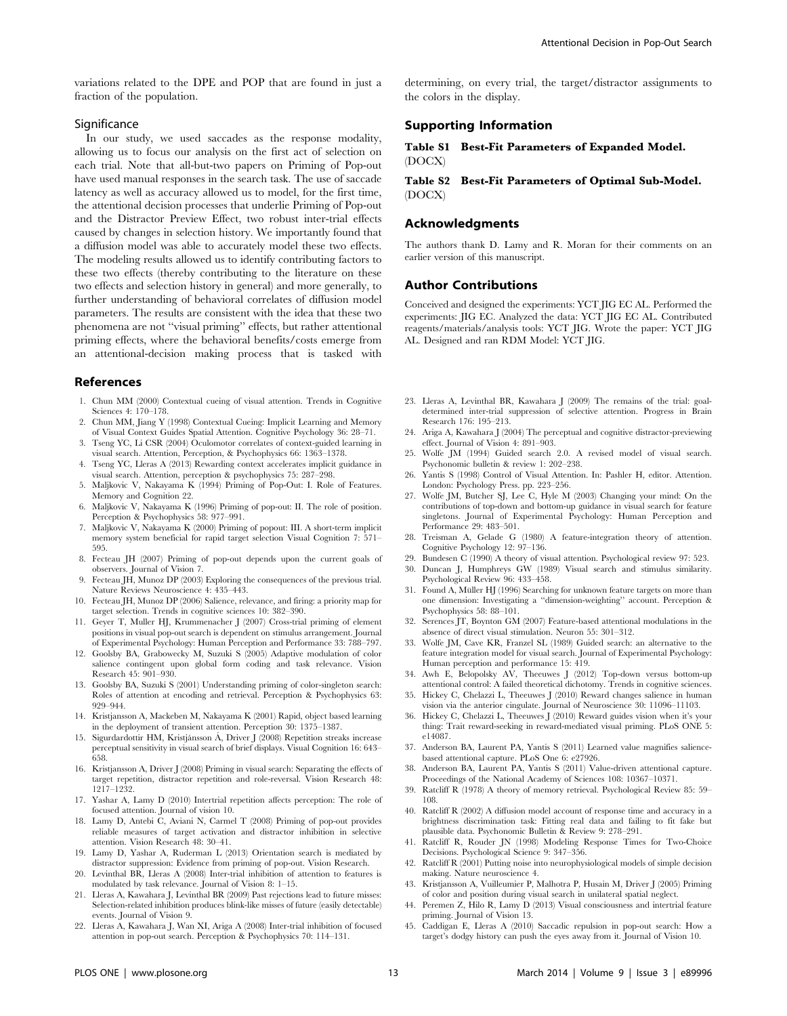variations related to the DPE and POP that are found in just a fraction of the population.

#### **Significance**

In our study, we used saccades as the response modality, allowing us to focus our analysis on the first act of selection on each trial. Note that all-but-two papers on Priming of Pop-out have used manual responses in the search task. The use of saccade latency as well as accuracy allowed us to model, for the first time, the attentional decision processes that underlie Priming of Pop-out and the Distractor Preview Effect, two robust inter-trial effects caused by changes in selection history. We importantly found that a diffusion model was able to accurately model these two effects. The modeling results allowed us to identify contributing factors to these two effects (thereby contributing to the literature on these two effects and selection history in general) and more generally, to further understanding of behavioral correlates of diffusion model parameters. The results are consistent with the idea that these two phenomena are not ''visual priming'' effects, but rather attentional priming effects, where the behavioral benefits/costs emerge from an attentional-decision making process that is tasked with

#### References

- 1. Chun MM (2000) Contextual cueing of visual attention. Trends in Cognitive Sciences 4: 170–178.
- 2. Chun MM, Jiang Y (1998) Contextual Cueing: Implicit Learning and Memory of Visual Context Guides Spatial Attention. Cognitive Psychology 36: 28–71.
- 3. Tseng YC, Li CSR (2004) Oculomotor correlates of context-guided learning in visual search. Attention, Perception, & Psychophysics 66: 1363–1378.
- 4. Tseng YC, Lleras A (2013) Rewarding context accelerates implicit guidance in visual search. Attention, perception & psychophysics 75: 287–298.
- 5. Maljkovic V, Nakayama K (1994) Priming of Pop-Out: I. Role of Features. Memory and Cognition 22.
- 6. Maljkovic V, Nakayama K (1996) Priming of pop-out: II. The role of position. Perception & Psychophysics 58: 977–991.
- 7. Maljkovic V, Nakayama K (2000) Priming of popout: III. A short-term implicit memory system beneficial for rapid target selection Visual Cognition 7: 571– 595.
- 8. Fecteau JH (2007) Priming of pop-out depends upon the current goals of observers. Journal of Vision 7.
- 9. Fecteau JH, Munoz DP (2003) Exploring the consequences of the previous trial. Nature Reviews Neuroscience 4: 435–443.
- 10. Fecteau JH, Munoz DP (2006) Salience, relevance, and firing: a priority map for target selection. Trends in cognitive sciences 10: 382–390.
- 11. Geyer T, Muller HJ, Krummenacher J (2007) Cross-trial priming of element positions in visual pop-out search is dependent on stimulus arrangement. Journal of Experimental Psychology: Human Perception and Performance 33: 788–797.
- 12. Goolsby BA, Grabowecky M, Suzuki S (2005) Adaptive modulation of color salience contingent upon global form coding and task relevance. Vision Research 45: 901–930.
- 13. Goolsby BA, Suzuki S (2001) Understanding priming of color-singleton search: Roles of attention at encoding and retrieval. Perception & Psychophysics 63: 929–944.
- 14. Kristjansson A, Mackeben M, Nakayama K (2001) Rapid, object based learning in the deployment of transient attention. Perception 30: 1375–1387.
- 15. Sigurdardottir HM, Kristjánsson Á, Driver J (2008) Repetition streaks increase perceptual sensitivity in visual search of brief displays. Visual Cognition 16: 643– 658.
- 16. Kristjansson A, Driver J (2008) Priming in visual search: Separating the effects of target repetition, distractor repetition and role-reversal. Vision Research 48: 1217–1232.
- 17. Yashar A, Lamy D (2010) Intertrial repetition affects perception: The role of focused attention. Journal of vision 10.
- 18. Lamy D, Antebi C, Aviani N, Carmel T (2008) Priming of pop-out provides reliable measures of target activation and distractor inhibition in selective attention. Vision Research 48: 30–41.
- 19. Lamy D, Yashar A, Ruderman L (2013) Orientation search is mediated by distractor suppression: Evidence from priming of pop-out. Vision Research.
- 20. Levinthal BR, Lleras A (2008) Inter-trial inhibition of attention to features is modulated by task relevance. Journal of Vision 8: 1–15.
- 21. Lleras A, Kawahara J, Levinthal BR (2009) Past rejections lead to future misses: Selection-related inhibition produces blink-like misses of future (easily detectable) events. Journal of Vision 9.
- 22. Lleras A, Kawahara J, Wan XI, Ariga A (2008) Inter-trial inhibition of focused attention in pop-out search. Perception & Psychophysics 70: 114–131.

determining, on every trial, the target/distractor assignments to the colors in the display.

## Supporting Information

Table S1 Best-Fit Parameters of Expanded Model. (DOCX)

Table S2 Best-Fit Parameters of Optimal Sub-Model. (DOCX)

#### Acknowledgments

The authors thank D. Lamy and R. Moran for their comments on an earlier version of this manuscript.

#### Author Contributions

Conceived and designed the experiments: YCT JIG EC AL. Performed the experiments: JIG EC. Analyzed the data: YCT JIG EC AL. Contributed reagents/materials/analysis tools: YCT JIG. Wrote the paper: YCT JIG AL. Designed and ran RDM Model: YCT JIG.

- 23. Lleras A, Levinthal BR, Kawahara J (2009) The remains of the trial: goaldetermined inter-trial suppression of selective attention. Progress in Brain Research 176: 195–213.
- 24. Ariga A, Kawahara J (2004) The perceptual and cognitive distractor-previewing effect. Journal of Vision 4: 891–903.
- 25. Wolfe JM (1994) Guided search 2.0. A revised model of visual search. Psychonomic bulletin & review 1: 202–238.
- 26. Yantis S (1998) Control of Visual Attention. In: Pashler H, editor. Attention. London: Psychology Press. pp. 223–256.
- 27. Wolfe JM, Butcher SJ, Lee C, Hyle M (2003) Changing your mind: On the contributions of top-down and bottom-up guidance in visual search for feature singletons. Journal of Experimental Psychology: Human Perception and Performance 29: 483–501.
- 28. Treisman A, Gelade G (1980) A feature-integration theory of attention. Cognitive Psychology 12: 97–136.
- 29. Bundesen C (1990) A theory of visual attention. Psychological review 97: 523.
- 30. Duncan J, Humphreys GW (1989) Visual search and stimulus similarity. Psychological Review 96: 433–458.
- 31. Found A, Müller HJ (1996) Searching for unknown feature targets on more than one dimension: Investigating a ''dimension-weighting'' account. Perception & Psychophysics 58: 88–101.
- 32. Serences JT, Boynton GM (2007) Feature-based attentional modulations in the absence of direct visual stimulation. Neuron 55: 301–312.
- 33. Wolfe JM, Cave KR, Franzel SL (1989) Guided search: an alternative to the feature integration model for visual search. Journal of Experimental Psychology: Human perception and performance 15: 419.
- 34. Awh E, Belopolsky AV, Theeuwes J (2012) Top-down versus bottom-up attentional control: A failed theoretical dichotomy. Trends in cognitive sciences.
- 35. Hickey C, Chelazzi L, Theeuwes J (2010) Reward changes salience in human vision via the anterior cingulate. Journal of Neuroscience 30: 11096–11103.
- 36. Hickey C, Chelazzi L, Theeuwes J (2010) Reward guides vision when it's your thing: Trait reward-seeking in reward-mediated visual priming. PLoS ONE 5: e14087.
- 37. Anderson BA, Laurent PA, Yantis S (2011) Learned value magnifies saliencebased attentional capture. PLoS One 6: e27926.
- 38. Anderson BA, Laurent PA, Yantis S (2011) Value-driven attentional capture. Proceedings of the National Academy of Sciences 108: 10367–10371.
- 39. Ratcliff R (1978) A theory of memory retrieval. Psychological Review 85: 59– 108.
- 40. Ratcliff R (2002) A diffusion model account of response time and accuracy in a brightness discrimination task: Fitting real data and failing to fit fake but plausible data. Psychonomic Bulletin & Review 9: 278–291.
- 41. Ratcliff R, Rouder JN (1998) Modeling Response Times for Two-Choice Decisions. Psychological Science 9: 347–356.
- 42. Ratcliff R (2001) Putting noise into neurophysiological models of simple decision making. Nature neuroscience 4.
- 43. Kristjansson A, Vuilleumier P, Malhotra P, Husain M, Driver J (2005) Priming of color and position during visual search in unilateral spatial neglect.
- 44. Peremen Z, Hilo R, Lamy D (2013) Visual consciousness and intertrial feature priming. Journal of Vision 13.
- 45. Caddigan E, Lleras A (2010) Saccadic repulsion in pop-out search: How a target's dodgy history can push the eyes away from it. Journal of Vision 10.